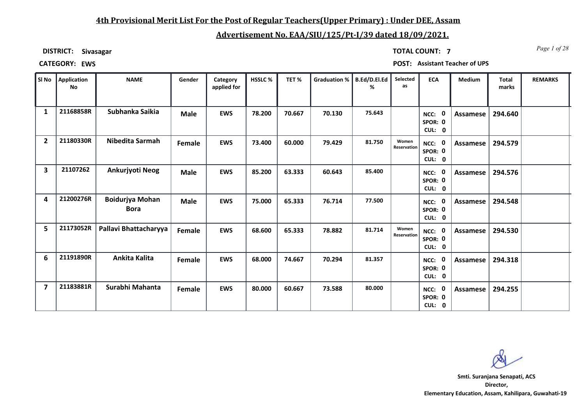### **4th Provisional Merit List For the Post of Regular Teachers(Upper Primary) : Under DEE, Assam**

## **Advertisement No. EAA/SIU/125/Pt-I/39 dated 18/09/2021.**

**DISTRICT: Sivasagar**

*Page 1 of 28* **TOTAL COUNT: 7**

**CATEGORY: EWS POST: Assistant Teacher of UPS**

| SI No                   | Application<br>No | <b>NAME</b>                           | Gender      | Category<br>applied for | <b>HSSLC%</b> | TET%   | <b>Graduation %</b> | B.Ed/D.El.Ed<br>% | Selected<br>as       | <b>ECA</b>                               | <b>Medium</b>   | <b>Total</b><br>marks | <b>REMARKS</b> |
|-------------------------|-------------------|---------------------------------------|-------------|-------------------------|---------------|--------|---------------------|-------------------|----------------------|------------------------------------------|-----------------|-----------------------|----------------|
| $\mathbf{1}$            | 21168858R         | Subhanka Saikia                       | <b>Male</b> | <b>EWS</b>              | 78.200        | 70.667 | 70.130              | 75.643            |                      | $\mathbf 0$<br>NCC:<br>SPOR: 0<br>CUL: 0 | Assamese        | 294.640               |                |
| $\overline{2}$          | 21180330R         | Nibedita Sarmah                       | Female      | <b>EWS</b>              | 73.400        | 60.000 | 79.429              | 81.750            | Women<br>Reservation | NCC: 0<br>SPOR: 0<br>CUL: 0              | <b>Assamese</b> | 294.579               |                |
| $\overline{\mathbf{3}}$ | 21107262          | Ankurjyoti Neog                       | <b>Male</b> | <b>EWS</b>              | 85.200        | 63.333 | 60.643              | 85.400            |                      | NCC: 0<br>SPOR: 0<br>CUL: 0              | Assamese        | 294.576               |                |
| 4                       | 21200276R         | <b>Boidurjya Mohan</b><br><b>Bora</b> | <b>Male</b> | <b>EWS</b>              | 75.000        | 65.333 | 76.714              | 77.500            |                      | $\bf{0}$<br>NCC:<br>SPOR: 0<br>CUL: 0    | Assamese        | 294.548               |                |
| 5                       | 21173052R         | Pallavi Bhattacharyya                 | Female      | <b>EWS</b>              | 68.600        | 65.333 | 78.882              | 81.714            | Women<br>Reservation | NCC: 0<br>SPOR: 0<br>CUL: 0              | <b>Assamese</b> | 294.530               |                |
| 6                       | 21191890R         | Ankita Kalita                         | Female      | <b>EWS</b>              | 68.000        | 74.667 | 70.294              | 81.357            |                      | NCC: 0<br>SPOR: 0<br>CUL: 0              | <b>Assamese</b> | 294.318               |                |
| $\overline{7}$          | 21183881R         | Surabhi Mahanta                       | Female      | <b>EWS</b>              | 80.000        | 60.667 | 73.588              | 80.000            |                      | NCC: 0<br>SPOR: 0<br>CUL: 0              | Assamese        | 294.255               |                |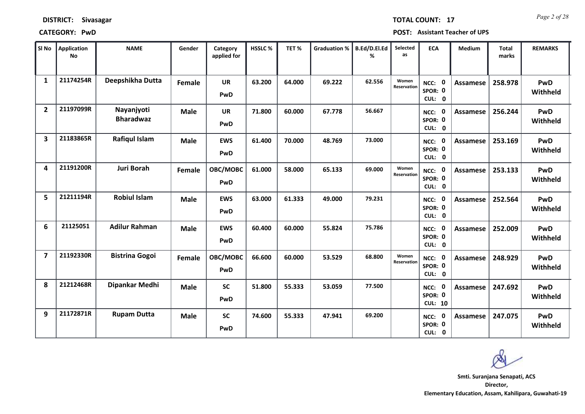| <b>DISTRICT:</b> | Sivasagar |
|------------------|-----------|
|------------------|-----------|

### **CATEGORY: PwD POST: Assistant Teacher of UPS**

**10**

47.941 69.200 **NCC:** 0

**0**

**SPOR:**

**SPOR:**

| Sl No                   | Application<br>No | <b>NAME</b>                    | Gender        | Category<br>applied for | HSSLC% | TET%   | <b>Graduation %</b> | B.Ed/D.El.Ed<br>% | Selected<br>as       | <b>ECA</b>                                                    | <b>Medium</b>   | Total<br>marks | <b>REMARKS</b>         |
|-------------------------|-------------------|--------------------------------|---------------|-------------------------|--------|--------|---------------------|-------------------|----------------------|---------------------------------------------------------------|-----------------|----------------|------------------------|
| $\mathbf{1}$            | 21174254R         | Deepshikha Dutta               | <b>Female</b> | <b>UR</b><br>PwD        | 63.200 | 64.000 | 69.222              | 62.556            | Women<br>Reservation | $\mathbf 0$<br>NCC:<br>SPOR: 0<br>CUL:<br>$\mathbf{0}$        | Assamese        | 258.978        | PwD<br>Withheld        |
| $\overline{2}$          | 21197099R         | Nayanjyoti<br><b>Bharadwaz</b> | <b>Male</b>   | <b>UR</b><br>PwD        | 71.800 | 60.000 | 67.778              | 56.667            |                      | $\mathbf 0$<br>NCC:<br>SPOR: 0<br><b>CUL:</b><br>$\mathbf{0}$ | Assamese        | 256.244        | PwD<br>Withheld        |
| $\overline{\mathbf{3}}$ | 21183865R         | Rafiqul Islam                  | <b>Male</b>   | <b>EWS</b><br>PwD       | 61.400 | 70.000 | 48.769              | 73.000            |                      | $\mathbf 0$<br>NCC:<br>SPOR: 0<br>CUL: 0                      | Assamese        | 253.169        | PwD<br>Withheld        |
| 4                       | 21191200R         | <b>Juri Borah</b>              | Female        | OBC/MOBC<br>PwD         | 61.000 | 58.000 | 65.133              | 69.000            | Women<br>Reservation | $\mathbf 0$<br>NCC:<br>SPOR: 0<br>CUL:<br>$\mathbf{0}$        | Assamese        | 253.133        | PwD<br>Withheld        |
| 5                       | 21211194R         | <b>Robiul Islam</b>            | <b>Male</b>   | <b>EWS</b><br>PwD       | 63.000 | 61.333 | 49.000              | 79.231            |                      | 0<br>NCC:<br>SPOR: 0<br>CUL:<br>$\mathbf{0}$                  | Assamese        | 252.564        | <b>PwD</b><br>Withheld |
| 6                       | 21125051          | <b>Adilur Rahman</b>           | <b>Male</b>   | <b>EWS</b><br>PwD       | 60.400 | 60.000 | 55.824              | 75.786            |                      | $\mathbf 0$<br>NCC:<br>SPOR: 0<br>CUL: 0                      | <b>Assamese</b> | 252.009        | PwD<br>Withheld        |
| $\overline{\mathbf{z}}$ | 21192330R         | <b>Bistrina Gogoi</b>          | Female        | OBC/MOBC<br>PwD         | 66.600 | 60.000 | 53.529              | 68.800            | Women<br>Reservation | 0<br>NCC:<br>SPOR: 0<br>CUL:<br>$\mathbf{0}$                  | <b>Assamese</b> | 248.929        | PwD<br>Withheld        |
| 8                       | 21212468R         | Dipankar Medhi                 | <b>Male</b>   | <b>SC</b>               | 51.800 | 55.333 | 53.059              | 77.500            |                      | 0<br>NCC:                                                     | Assamese        | 247.692        | <b>PwD</b>             |

**CUL: PwD**

**CUL: PwD**

**9 21172871R Rupam Dutta Male SC 74.600 55.333 69.200 0 Assamese 247.075 PwD** 

**0 Withheld**

**0 Withheld**

**Director, Elementary Education, Assam, Kahilipara, Guwahati-19 Smti. Suranjana Senapati, ACS**

*Page 2 of 28* **TOTAL COUNT: 17**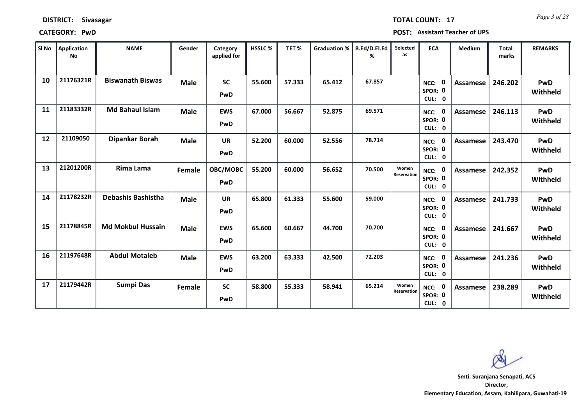| SI No | <b>Application</b><br>No | <b>NAME</b>              | Gender        | Category<br>applied for | <b>HSSLC%</b> | TET%   | Graduation % | B.Ed/D.El.Ed<br>% | Selected<br>as       | <b>ECA</b>                       | Medium          | <b>Total</b><br>marks | <b>REMARKS</b>         |
|-------|--------------------------|--------------------------|---------------|-------------------------|---------------|--------|--------------|-------------------|----------------------|----------------------------------|-----------------|-----------------------|------------------------|
| 10    | 21176321R                | <b>Biswanath Biswas</b>  | <b>Male</b>   | <b>SC</b><br>PwD        | 55.600        | 57.333 | 65.412       | 67.857            |                      | 0<br>NCC:<br>SPOR: 0<br>CUL: 0   | <b>Assamese</b> | 246.202               | <b>PwD</b><br>Withheld |
| 11    | 21183332R                | <b>Md Bahaul Islam</b>   | <b>Male</b>   | <b>EWS</b><br>PwD       | 67.000        | 56.667 | 52.875       | 69.571            |                      | NCC: 0<br>SPOR: 0<br>CUL: 0      | Assamese        | 246.113               | PwD<br>Withheld        |
| 12    | 21109050                 | Dipankar Borah           | <b>Male</b>   | <b>UR</b><br>PwD        | 52.200        | 60.000 | 52.556       | 78.714            |                      | NCC: 0<br>SPOR: 0<br>CUL: 0      | <b>Assamese</b> | 243.470               | <b>PwD</b><br>Withheld |
| 13    | 21201200R                | Rima Lama                | <b>Female</b> | OBC/MOBC<br>PwD         | 55.200        | 60.000 | 56.652       | 70.500            | Women<br>Reservation | NCC: 0<br>SPOR: 0<br>CUL: 0      | <b>Assamese</b> | 242.352               | PwD<br>Withheld        |
| 14    | 21178232R                | Debashis Bashistha       | <b>Male</b>   | <b>UR</b><br>PwD        | 65.800        | 61.333 | 55.600       | 59.000            |                      | - 0<br>NCC:<br>SPOR: 0<br>CUL: 0 | Assamese        | 241.733               | PwD<br>Withheld        |
| 15    | 21178845R                | <b>Md Mokbul Hussain</b> | <b>Male</b>   | <b>EWS</b><br>PwD       | 65.600        | 60.667 | 44.700       | 70.700            |                      | NCC: 0<br>SPOR: 0<br>CUL: 0      | <b>Assamese</b> | 241.667               | PwD<br>Withheld        |
| 16    | 21197648R                | <b>Abdul Motaleb</b>     | <b>Male</b>   | <b>EWS</b><br>PwD       | 63.200        | 63.333 | 42.500       | 72.203            |                      | - 0<br>NCC:<br>SPOR: 0<br>CUL: 0 | Assamese        | 241.236               | PwD<br>Withheld        |
| 17    | 21179442R                | Sumpi Das                | Female        | <b>SC</b><br>PwD        | 58.800        | 55.333 | 58.941       | 65.214            | Women<br>Reservation | NCC: 0<br>SPOR: 0<br>CUL: 0      | Assamese        | 238.289               | PwD<br>Withheld        |

**Director, Elementary Education, Assam, Kahilipara, Guwahati-19 Smti. Suranjana Senapati, ACS**

*Page 3 of 28* **TOTAL COUNT: 17**

## **DISTRICT: Sivasagar**

### **CATEGORY: PwD POST: Assistant Teacher of UPS**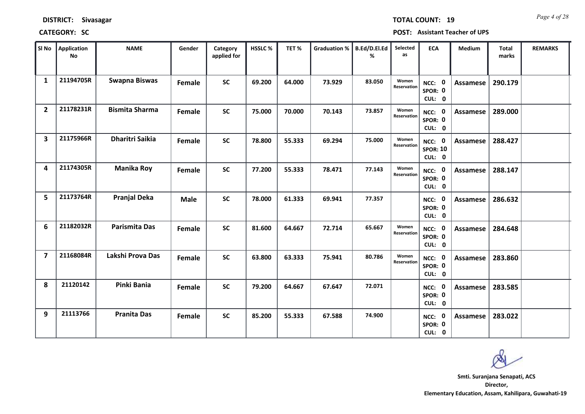*Page 4 of 28* **TOTAL COUNT: 19**

**CATEGORY: SC POST: Assistant Teacher of UPS**

| SI No          | <b>Application</b><br>No | <b>NAME</b>            | Gender      | Category<br>applied for | <b>HSSLC %</b> | TET%   | <b>Graduation %</b> | <b>B.Ed/D.El.Ed</b><br>% | Selected<br>as       | <b>ECA</b>                                | Medium          | <b>Total</b><br>marks | <b>REMARKS</b> |
|----------------|--------------------------|------------------------|-------------|-------------------------|----------------|--------|---------------------|--------------------------|----------------------|-------------------------------------------|-----------------|-----------------------|----------------|
| $\mathbf{1}$   | 21194705R                | <b>Swapna Biswas</b>   | Female      | <b>SC</b>               | 69.200         | 64.000 | 73.929              | 83.050                   | Women<br>Reservation | 0<br>NCC:<br>SPOR: 0<br>CUL: 0            | <b>Assamese</b> | 290.179               |                |
| $\overline{2}$ | 21178231R                | <b>Bismita Sharma</b>  | Female      | <b>SC</b>               | 75.000         | 70.000 | 70.143              | 73.857                   | Women<br>Reservation | NCC: 0<br>SPOR: 0<br>CUL: 0               | <b>Assamese</b> | 289.000               |                |
| 3              | 21175966R                | <b>Dharitri Saikia</b> | Female      | <b>SC</b>               | 78.800         | 55.333 | 69.294              | 75.000                   | Women<br>Reservation | NCC: 0<br><b>SPOR: 10</b><br>CUL: 0       | <b>Assamese</b> | 288.427               |                |
| 4              | 21174305R                | <b>Manika Roy</b>      | Female      | <b>SC</b>               | 77.200         | 55.333 | 78.471              | 77.143                   | Women<br>Reservation | $\mathbf{0}$<br>NCC:<br>SPOR: 0<br>CUL: 0 | <b>Assamese</b> | 288.147               |                |
| 5              | 21173764R                | <b>Pranjal Deka</b>    | <b>Male</b> | <b>SC</b>               | 78.000         | 61.333 | 69.941              | 77.357                   |                      | NCC: 0<br>SPOR: 0<br>CUL: 0               | <b>Assamese</b> | 286.632               |                |
| 6              | 21182032R                | <b>Parismita Das</b>   | Female      | <b>SC</b>               | 81.600         | 64.667 | 72.714              | 65.667                   | Women<br>Reservation | NCC: 0<br>SPOR: 0<br>CUL: 0               | <b>Assamese</b> | 284.648               |                |
| $\overline{7}$ | 21168084R                | Lakshi Prova Das       | Female      | <b>SC</b>               | 63.800         | 63.333 | 75.941              | 80.786                   | Women<br>Reservation | NCC: 0<br>SPOR: 0<br>CUL: 0               | <b>Assamese</b> | 283.860               |                |
| 8              | 21120142                 | Pinki Bania            | Female      | <b>SC</b>               | 79.200         | 64.667 | 67.647              | 72.071                   |                      | <b>NCC: 0</b><br>SPOR: 0<br>CUL: 0        | <b>Assamese</b> | 283.585               |                |
| 9              | 21113766                 | <b>Pranita Das</b>     | Female      | <b>SC</b>               | 85.200         | 55.333 | 67.588              | 74.900                   |                      | 0<br>NCC:<br>SPOR: 0<br>CUL: 0            | <b>Assamese</b> | 283.022               |                |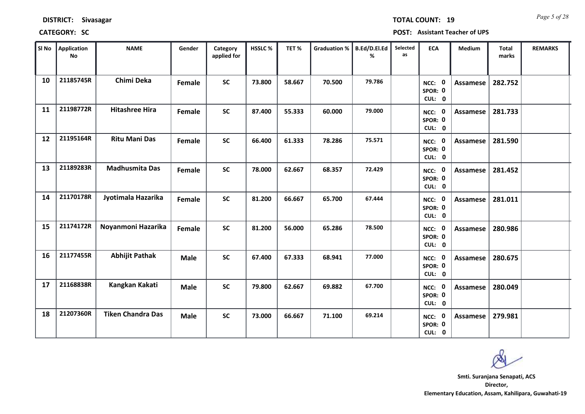| SI No | Application<br><b>No</b> | <b>NAME</b>              | Gender      | Category<br>applied for | HSSLC% | TET%   | <b>Graduation %</b> | B.Ed/D.El.Ed<br>% | Selected<br>as | <b>ECA</b>                         | Medium   | <b>Total</b><br>marks | <b>REMARKS</b> |
|-------|--------------------------|--------------------------|-------------|-------------------------|--------|--------|---------------------|-------------------|----------------|------------------------------------|----------|-----------------------|----------------|
| 10    | 21185745R                | Chimi Deka               | Female      | <b>SC</b>               | 73.800 | 58.667 | 70.500              | 79.786            |                | NCC: 0<br>SPOR: 0<br>CUL: 0        | Assamese | 282.752               |                |
| 11    | 21198772R                | <b>Hitashree Hira</b>    | Female      | ${\sf SC}$              | 87.400 | 55.333 | 60.000              | 79.000            |                | NCC: 0<br>SPOR: 0<br>CUL: 0        | Assamese | 281.733               |                |
| 12    | 21195164R                | <b>Ritu Mani Das</b>     | Female      | <b>SC</b>               | 66.400 | 61.333 | 78.286              | 75.571            |                | NCC: 0<br>SPOR: 0<br>CUL: 0        | Assamese | 281.590               |                |
| 13    | 21189283R                | <b>Madhusmita Das</b>    | Female      | <b>SC</b>               | 78.000 | 62.667 | 68.357              | 72.429            |                | NCC: 0<br>SPOR: 0<br>CUL: 0        | Assamese | 281.452               |                |
| 14    | 21170178R                | Jyotimala Hazarika       | Female      | <b>SC</b>               | 81.200 | 66.667 | 65.700              | 67.444            |                | NCC: 0<br>SPOR: 0<br>CUL: 0        | Assamese | 281.011               |                |
| 15    | 21174172R                | Noyanmoni Hazarika       | Female      | <b>SC</b>               | 81.200 | 56.000 | 65.286              | 78.500            |                | NCC: 0<br>SPOR: 0<br>CUL: 0        | Assamese | 280.986               |                |
| 16    | 21177455R                | <b>Abhijit Pathak</b>    | <b>Male</b> | <b>SC</b>               | 67.400 | 67.333 | 68.941              | 77.000            |                | NCC: 0<br>SPOR: 0<br>CUL: 0        | Assamese | 280.675               |                |
| 17    | 21168838R                | Kangkan Kakati           | Male        | <b>SC</b>               | 79.800 | 62.667 | 69.882              | 67.700            |                | <b>NCC: 0</b><br>SPOR: 0<br>CUL: 0 | Assamese | 280.049               |                |
| 18    | 21207360R                | <b>Tiken Chandra Das</b> | <b>Male</b> | SC                      | 73.000 | 66.667 | 71.100              | 69.214            |                | <b>NCC: 0</b><br>SPOR: 0<br>CUL: 0 | Assamese | 279.981               |                |

# **CATEGORY: SC POST: Assistant Teacher of UPS**

**DISTRICT: Sivasagar**

*Page 5 of 28* **TOTAL COUNT: 19**

т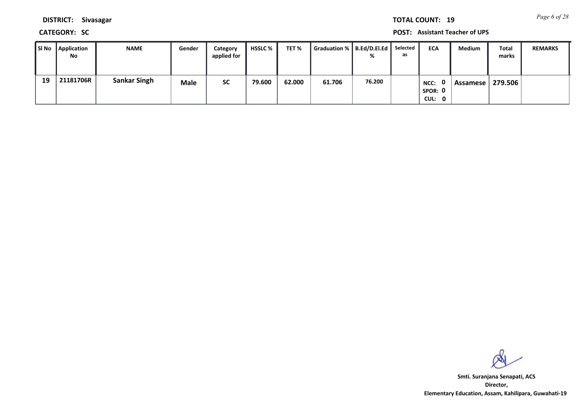*Page 6 of 28* **TOTAL COUNT: 19**

**DISTRICT: Sivasagar**

**CATEGORY: SC POST: Assistant Teacher of UPS**

| SI No | <b>Application</b><br>No | <b>NAME</b>         | Gender | Category<br>applied for | <b>HSSLC</b> % | TET %  | Graduation %   B.Ed/D.El.Ed | %      | Selected<br>as | <b>ECA</b>                       | <b>Medium</b> | Total<br>marks | <b>REMARKS</b> |
|-------|--------------------------|---------------------|--------|-------------------------|----------------|--------|-----------------------------|--------|----------------|----------------------------------|---------------|----------------|----------------|
| 19    | 21181706R                | <b>Sankar Singh</b> | Male   | <b>SC</b>               | 79.600         | 62.000 | 61.706                      | 76.200 |                | . റ<br>NCC:<br>SPOR: 0<br>CUL: 0 | Assamese I    | 279.506        |                |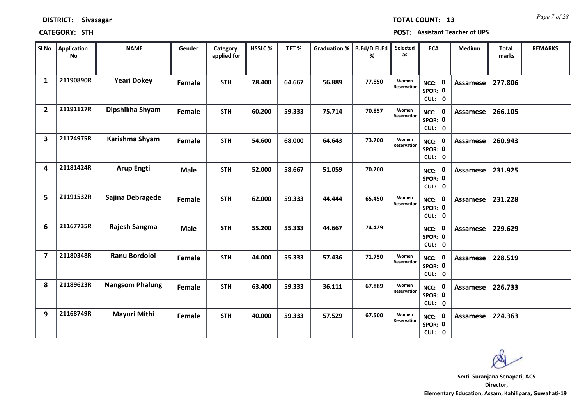| SI No                   | <b>Application</b><br><b>No</b> | <b>NAME</b>            | Gender      | Category<br>applied for | <b>HSSLC%</b> | TET%   | <b>Graduation %</b> | B.Ed/D.El.Ed<br>% | Selected<br>as       | <b>ECA</b>                         | Medium          | Total<br>marks | <b>REMARKS</b> |
|-------------------------|---------------------------------|------------------------|-------------|-------------------------|---------------|--------|---------------------|-------------------|----------------------|------------------------------------|-----------------|----------------|----------------|
| $\mathbf{1}$            | 21190890R                       | <b>Yeari Dokey</b>     | Female      | <b>STH</b>              | 78.400        | 64.667 | 56.889              | 77.850            | Women<br>Reservation | NCC: 0<br>SPOR: 0<br>CUL: 0        | Assamese        | 277.806        |                |
| $\overline{2}$          | 21191127R                       | Dipshikha Shyam        | Female      | <b>STH</b>              | 60.200        | 59.333 | 75.714              | 70.857            | Women<br>Reservation | NCC: 0<br>SPOR: 0<br>CUL: 0        | Assamese        | 266.105        |                |
| $\overline{\mathbf{3}}$ | 21174975R                       | Karishma Shyam         | Female      | <b>STH</b>              | 54.600        | 68.000 | 64.643              | 73.700            | Women<br>Reservation | NCC: 0<br>SPOR: 0<br>CUL: 0        | <b>Assamese</b> | 260.943        |                |
| 4                       | 21181424R                       | <b>Arup Engti</b>      | <b>Male</b> | <b>STH</b>              | 52.000        | 58.667 | 51.059              | 70.200            |                      | 0<br>NCC:<br>SPOR: 0<br>CUL: 0     | <b>Assamese</b> | 231.925        |                |
| 5                       | 21191532R                       | Sajina Debragede       | Female      | <b>STH</b>              | 62.000        | 59.333 | 44.444              | 65.450            | Women<br>Reservation | NCC: 0<br>SPOR: 0<br>CUL: 0        | <b>Assamese</b> | 231.228        |                |
| 6                       | 21167735R                       | Rajesh Sangma          | <b>Male</b> | <b>STH</b>              | 55.200        | 55.333 | 44.667              | 74.429            |                      | NCC: 0<br>SPOR: 0<br>CUL: 0        | Assamese        | 229.629        |                |
| $\overline{\mathbf{z}}$ | 21180348R                       | <b>Ranu Bordoloi</b>   | Female      | <b>STH</b>              | 44.000        | 55.333 | 57.436              | 71.750            | Women<br>Reservation | NCC: 0<br>SPOR: 0<br>CUL: 0        | Assamese        | 228.519        |                |
| 8                       | 21189623R                       | <b>Nangsom Phalung</b> | Female      | <b>STH</b>              | 63.400        | 59.333 | 36.111              | 67.889            | Women<br>Reservation | <b>NCC: 0</b><br>SPOR: 0<br>CUL: 0 | <b>Assamese</b> | 226.733        |                |
| 9                       | 21168749R                       | Mayuri Mithi           | Female      | <b>STH</b>              | 40.000        | 59.333 | 57.529              | 67.500            | Women<br>Reservation | <b>NCC: 0</b><br>SPOR: 0<br>CUL: 0 | Assamese        | 224.363        |                |

### **CATEGORY: STH POST: Assistant Teacher of UPS**

*Page 7 of 28* **TOTAL COUNT: 13**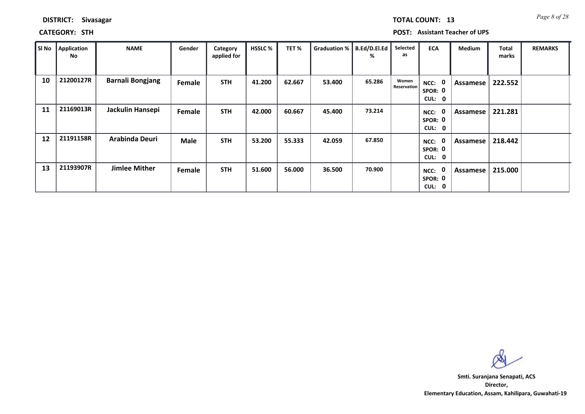| DISTRICT: | <b>Sivasagar</b> |
|-----------|------------------|
|-----------|------------------|

**CATEGORY: STH POST: Assistant Teacher of UPS**

| SI No | Application<br>No | <b>NAME</b>             | Gender      | Category<br>applied for | <b>HSSLC%</b> | TET%   | Graduation % | B.Ed/D.El.Ed<br>% | Selected<br>as              | <b>ECA</b>                                  | Medium   | <b>Total</b><br>marks | <b>REMARKS</b> |
|-------|-------------------|-------------------------|-------------|-------------------------|---------------|--------|--------------|-------------------|-----------------------------|---------------------------------------------|----------|-----------------------|----------------|
| 10    | 21200127R         | <b>Barnali Bongjang</b> | Female      | <b>STH</b>              | 41.200        | 62.667 | 53.400       | 65.286            | Women<br><b>Reservation</b> | $\mathbf 0$<br>NCC:<br>SPOR: 0<br>CUL:<br>0 | Assamese | 222.552               |                |
| 11    | 21169013R         | Jackulin Hansepi        | Female      | <b>STH</b>              | 42.000        | 60.667 | 45.400       | 73.214            |                             | 0<br>NCC:<br>SPOR: 0<br>CUL: 0              | Assamese | 221.281               |                |
| 12    | 21191158R         | Arabinda Deuri          | <b>Male</b> | <b>STH</b>              | 53.200        | 55.333 | 42.059       | 67.850            |                             | 0<br>NCC:<br>SPOR: 0<br>CUL: 0              | Assamese | 218.442               |                |
| 13    | 21193907R         | <b>Jimlee Mither</b>    | Female      | <b>STH</b>              | 51.600        | 56.000 | 36.500       | 70.900            |                             | 0<br>NCC:<br>SPOR: 0<br>CUL:<br>0           | Assamese | 215.000               |                |

**Director, Elementary Education, Assam, Kahilipara, Guwahati-19 Smti. Suranjana Senapati, ACS**

*Page 8 of 28* **TOTAL COUNT: 13**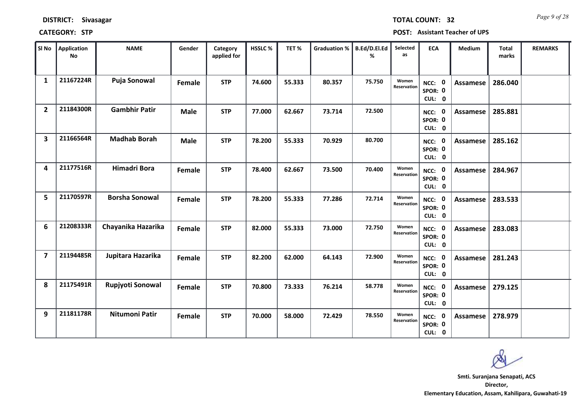| SI No                   | Application<br><b>No</b> | <b>NAME</b>           | Gender      | Category<br>applied for | HSSLC% | TET%   | <b>Graduation %</b> | B.Ed/D.El.Ed<br>% | Selected<br>as       | <b>ECA</b>                         | Medium          | <b>Total</b><br>marks | <b>REMARKS</b> |
|-------------------------|--------------------------|-----------------------|-------------|-------------------------|--------|--------|---------------------|-------------------|----------------------|------------------------------------|-----------------|-----------------------|----------------|
| $\mathbf{1}$            | 21167224R                | Puja Sonowal          | Female      | <b>STP</b>              | 74.600 | 55.333 | 80.357              | 75.750            | Women<br>Reservation | NCC: 0<br>SPOR: 0<br>CUL: 0        | Assamese        | 286.040               |                |
| $\overline{2}$          | 21184300R                | <b>Gambhir Patir</b>  | <b>Male</b> | <b>STP</b>              | 77.000 | 62.667 | 73.714              | 72.500            |                      | NCC: 0<br>SPOR: 0<br>CUL: 0        | <b>Assamese</b> | 285.881               |                |
| $\overline{\mathbf{3}}$ | 21166564R                | <b>Madhab Borah</b>   | <b>Male</b> | <b>STP</b>              | 78.200 | 55.333 | 70.929              | 80.700            |                      | NCC: 0<br>SPOR: 0<br>CUL: 0        | <b>Assamese</b> | 285.162               |                |
| 4                       | 21177516R                | <b>Himadri Bora</b>   | Female      | <b>STP</b>              | 78.400 | 62.667 | 73.500              | 70.400            | Women<br>Reservation | NCC: 0<br>SPOR: 0<br>CUL: 0        | <b>Assamese</b> | 284.967               |                |
| 5                       | 21170597R                | <b>Borsha Sonowal</b> | Female      | <b>STP</b>              | 78.200 | 55.333 | 77.286              | 72.714            | Women<br>Reservation | NCC: 0<br>SPOR: 0<br>CUL: 0        | <b>Assamese</b> | 283.533               |                |
| 6                       | 21208333R                | Chayanika Hazarika    | Female      | <b>STP</b>              | 82.000 | 55.333 | 73.000              | 72.750            | Women<br>Reservation | NCC: 0<br>SPOR: 0<br>CUL: 0        | <b>Assamese</b> | 283.083               |                |
| $\overline{\mathbf{z}}$ | 21194485R                | Jupitara Hazarika     | Female      | <b>STP</b>              | 82.200 | 62.000 | 64.143              | 72.900            | Women<br>Reservation | NCC: 0<br>SPOR: 0<br>CUL: 0        | Assamese        | 281.243               |                |
| 8                       | 21175491R                | Rupjyoti Sonowal      | Female      | <b>STP</b>              | 70.800 | 73.333 | 76.214              | 58.778            | Women<br>Reservation | <b>NCC: 0</b><br>SPOR: 0<br>CUL: 0 | <b>Assamese</b> | 279.125               |                |
| 9                       | 21181178R                | Nitumoni Patir        | Female      | <b>STP</b>              | 70.000 | 58.000 | 72.429              | 78.550            | Women<br>Reservation | <b>NCC: 0</b><br>SPOR: 0<br>CUL: 0 | Assamese        | 278.979               |                |

### **CATEGORY: STP POST: Assistant Teacher of UPS**

*Page 9 of 28* **TOTAL COUNT: 32**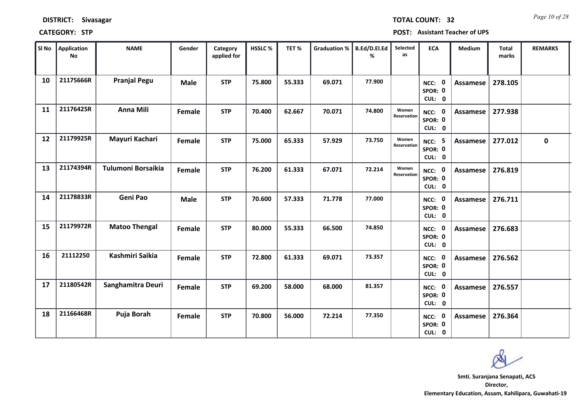| Sl No | <b>Application</b><br><b>No</b> | <b>NAME</b>          | Gender      | Category<br>applied for | HSSLC% | TET%   | <b>Graduation %</b> | B.Ed/D.El.Ed<br>% | Selected<br>as       | <b>ECA</b>                               | Medium          | <b>Total</b><br>marks | <b>REMARKS</b> |
|-------|---------------------------------|----------------------|-------------|-------------------------|--------|--------|---------------------|-------------------|----------------------|------------------------------------------|-----------------|-----------------------|----------------|
| 10    | 21175666R                       | <b>Pranjal Pegu</b>  | <b>Male</b> | <b>STP</b>              | 75.800 | 55.333 | 69.071              | 77.900            |                      | NCC: 0<br>SPOR: 0<br>CUL: 0              | <b>Assamese</b> | 278.105               |                |
| 11    | 21176425R                       | <b>Anna Mili</b>     | Female      | <b>STP</b>              | 70.400 | 62.667 | 70.071              | 74.800            | Women<br>Reservation | NCC: 0<br>SPOR: 0<br>CUL: 0              | <b>Assamese</b> | 277.938               |                |
| 12    | 21179925R                       | Mayuri Kachari       | Female      | <b>STP</b>              | 75.000 | 65.333 | 57.929              | 73.750            | Women<br>Reservation | - 5<br>NCC:<br>SPOR: 0<br>CUL: 0         | <b>Assamese</b> | 277.012               | $\mathbf 0$    |
| 13    | 21174394R                       | Tulumoni Borsaikia   | Female      | <b>STP</b>              | 76.200 | 61.333 | 67.071              | 72.214            | Women<br>Reservation | NCC: 0<br>SPOR: 0<br>CUL: 0              | <b>Assamese</b> | 276.819               |                |
| 14    | 21178833R                       | Geni Pao             | <b>Male</b> | <b>STP</b>              | 70.600 | 57.333 | 71.778              | 77.000            |                      | NCC: 0<br>SPOR: 0<br>CUL: 0              | Assamese        | 276.711               |                |
| 15    | 21179972R                       | <b>Matoo Thengal</b> | Female      | <b>STP</b>              | 80.000 | 55.333 | 66.500              | 74.850            |                      | NCC: 0<br>SPOR: 0<br>CUL: 0              | <b>Assamese</b> | 276.683               |                |
| 16    | 21112250                        | Kashmiri Saikia      | Female      | <b>STP</b>              | 72.800 | 61.333 | 69.071              | 73.357            |                      | $\mathbf 0$<br>NCC:<br>SPOR: 0<br>CUL: 0 | <b>Assamese</b> | 276.562               |                |
| 17    | 21180542R                       | Sanghamitra Deuri    | Female      | <b>STP</b>              | 69.200 | 58.000 | 68.000              | 81.357            |                      | NCC: 0<br>SPOR: 0<br>CUL: 0              | <b>Assamese</b> | 276.557               |                |
| 18    | 21166468R                       | Puja Borah           | Female      | <b>STP</b>              | 70.800 | 56.000 | 72.214              | 77.350            |                      | NCC: 0<br>SPOR: 0<br>CUL: 0              | Assamese        | 276.364               |                |

**Director, Elementary Education, Assam, Kahilipara, Guwahati-19 Smti. Suranjana Senapati, ACS**

*Page 10 of 28* **TOTAL COUNT: 32**

a ka

### **DISTRICT: Sivasagar**

### **CATEGORY: STP POST: Assistant Teacher of UPS**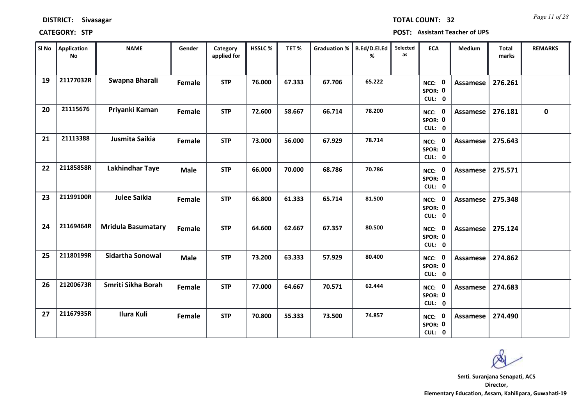| SI No | <b>Application</b><br><b>No</b> | <b>NAME</b>               | Gender      | Category<br>applied for | HSSLC% | TET%   | <b>Graduation %</b> | <b>B.Ed/D.El.Ed</b><br>℅ | Selected<br>as | <b>ECA</b>                         | Medium          | Total<br>marks | <b>REMARKS</b> |
|-------|---------------------------------|---------------------------|-------------|-------------------------|--------|--------|---------------------|--------------------------|----------------|------------------------------------|-----------------|----------------|----------------|
| 19    | 21177032R                       | Swapna Bharali            | Female      | <b>STP</b>              | 76.000 | 67.333 | 67.706              | 65.222                   |                | NCC: 0<br>SPOR: 0<br>CUL: 0        | Assamese        | 276.261        |                |
| 20    | 21115676                        | Priyanki Kaman            | Female      | <b>STP</b>              | 72.600 | 58.667 | 66.714              | 78.200                   |                | NCC: 0<br>SPOR: 0<br>CUL: 0        | Assamese        | 276.181        | $\mathbf 0$    |
| 21    | 21113388                        | Jusmita Saikia            | Female      | <b>STP</b>              | 73.000 | 56.000 | 67.929              | 78.714                   |                | NCC: 0<br>SPOR: 0<br>CUL: 0        | <b>Assamese</b> | 275.643        |                |
| 22    | 21185858R                       | Lakhindhar Taye           | <b>Male</b> | <b>STP</b>              | 66.000 | 70.000 | 68.786              | 70.786                   |                | NCC: 0<br>SPOR: 0<br>CUL: 0        | Assamese        | 275.571        |                |
| 23    | 21199100R                       | <b>Julee Saikia</b>       | Female      | <b>STP</b>              | 66.800 | 61.333 | 65.714              | 81.500                   |                | NCC: 0<br>SPOR: 0<br>CUL: 0        | Assamese        | 275.348        |                |
| 24    | 21169464R                       | <b>Mridula Basumatary</b> | Female      | <b>STP</b>              | 64.600 | 62.667 | 67.357              | 80.500                   |                | NCC: 0<br>SPOR: 0<br>CUL: 0        | Assamese        | 275.124        |                |
| 25    | 21180199R                       | Sidartha Sonowal          | <b>Male</b> | <b>STP</b>              | 73.200 | 63.333 | 57.929              | 80.400                   |                | NCC: 0<br>SPOR: 0<br>CUL: 0        | Assamese        | 274.862        |                |
| 26    | 21200673R                       | Smriti Sikha Borah        | Female      | <b>STP</b>              | 77.000 | 64.667 | 70.571              | 62.444                   |                | <b>NCC: 0</b><br>SPOR: 0<br>CUL: 0 | Assamese        | 274.683        |                |
| 27    | 21167935R                       | <b>Ilura Kuli</b>         | Female      | <b>STP</b>              | 70.800 | 55.333 | 73.500              | 74.857                   |                | <b>NCC: 0</b><br>SPOR: 0<br>CUL: 0 | Assamese        | 274.490        |                |

**CATEGORY: STP POST: Assistant Teacher of UPS**

### **DISTRICT: Sivasagar**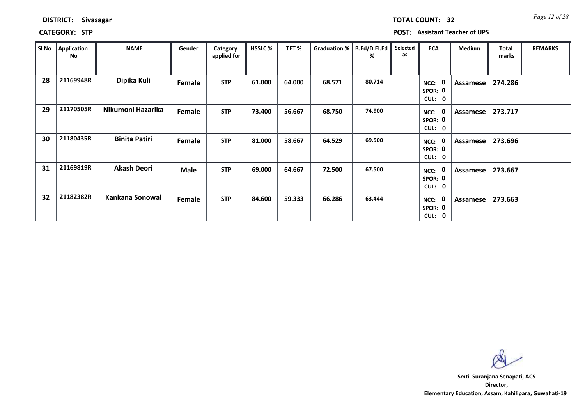| <b>DISTRICT:</b> | <b>Sivasagar</b> |
|------------------|------------------|
|------------------|------------------|

**CATEGORY: STP POST: Assistant Teacher of UPS**

| SI No | <b>Application</b><br>No | <b>NAME</b>          | Gender      | Category<br>applied for | <b>HSSLC %</b> | TET%   | Graduation % | B.Ed/D.El.Ed<br>% | Selected<br>as | <b>ECA</b>                                         | Medium   | <b>Total</b><br>marks | <b>REMARKS</b> |
|-------|--------------------------|----------------------|-------------|-------------------------|----------------|--------|--------------|-------------------|----------------|----------------------------------------------------|----------|-----------------------|----------------|
| 28    | 21169948R                | Dipika Kuli          | Female      | <b>STP</b>              | 61.000         | 64.000 | 68.571       | 80.714            |                | 0<br>NCC:<br>SPOR: 0<br><b>CUL:</b><br>0           | Assamese | 274.286               |                |
| 29    | 21170505R                | Nikumoni Hazarika    | Female      | <b>STP</b>              | 73.400         | 56.667 | 68.750       | 74.900            |                | 0<br>NCC:<br>SPOR: 0<br><b>CUL:</b><br>0           | Assamese | 273.717               |                |
| 30    | 21180435R                | <b>Binita Patiri</b> | Female      | <b>STP</b>              | 81.000         | 58.667 | 64.529       | 69.500            |                | 0<br>NCC:<br>SPOR: 0<br>CUL:<br>$\mathbf 0$        | Assamese | 273.696               |                |
| 31    | 21169819R                | <b>Akash Deori</b>   | <b>Male</b> | <b>STP</b>              | 69.000         | 64.667 | 72.500       | 67.500            |                | 0<br>NCC:<br>SPOR: 0<br><b>CUL:</b><br>$\mathbf 0$ | Assamese | 273.667               |                |
| 32    | 21182382R                | Kankana Sonowal      | Female      | <b>STP</b>              | 84.600         | 59.333 | 66.286       | 63.444            |                | 0<br>NCC:<br>SPOR: 0<br>CUL:<br>$\mathbf 0$        | Assamese | 273.663               |                |

**Director, Elementary Education, Assam, Kahilipara, Guwahati-19 Smti. Suranjana Senapati, ACS**

*Page 12 of 28* **TOTAL COUNT: 32**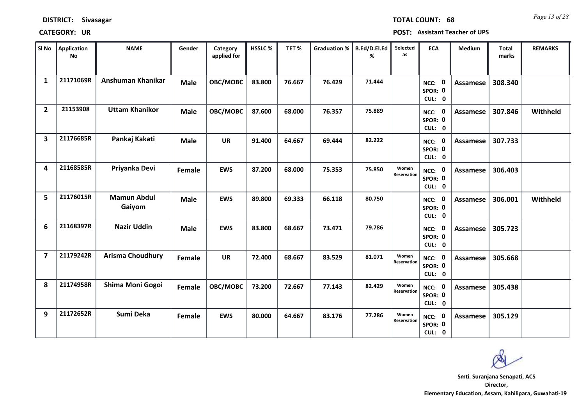| <b>DISTRICT:</b> | <b>Sivasagar</b> |
|------------------|------------------|
|------------------|------------------|

*Page 13 of 28* **TOTAL COUNT: 68**

**CATEGORY: UR POST: Assistant Teacher of UPS**

| SI No                   | Application<br><b>No</b> | <b>NAME</b>                  | Gender        | Category<br>applied for | <b>HSSLC %</b> | TET%   | <b>Graduation %</b> | B.Ed/D.El.Ed<br>% | Selected<br>as       | <b>ECA</b>                     | <b>Medium</b>   | <b>Total</b><br>marks | <b>REMARKS</b> |
|-------------------------|--------------------------|------------------------------|---------------|-------------------------|----------------|--------|---------------------|-------------------|----------------------|--------------------------------|-----------------|-----------------------|----------------|
| $\mathbf{1}$            | 21171069R                | Anshuman Khanikar            | <b>Male</b>   | OBC/MOBC                | 83.800         | 76.667 | 76.429              | 71.444            |                      | NCC: 0<br>SPOR: 0<br>CUL: 0    | Assamese        | 308.340               |                |
| $\overline{2}$          | 21153908                 | <b>Uttam Khanikor</b>        | <b>Male</b>   | OBC/MOBC                | 87.600         | 68.000 | 76.357              | 75.889            |                      | NCC: 0<br>SPOR: 0<br>CUL: 0    | Assamese        | 307.846               | Withheld       |
| $\overline{\mathbf{3}}$ | 21176685R                | Pankaj Kakati                | <b>Male</b>   | <b>UR</b>               | 91.400         | 64.667 | 69.444              | 82.222            |                      | NCC: 0<br>SPOR: 0<br>CUL: 0    | <b>Assamese</b> | 307.733               |                |
| 4                       | 21168585R                | Priyanka Devi                | Female        | <b>EWS</b>              | 87.200         | 68.000 | 75.353              | 75.850            | Women<br>Reservation | 0<br>NCC:<br>SPOR: 0<br>CUL: 0 | Assamese        | 306.403               |                |
| 5                       | 21176015R                | <b>Mamun Abdul</b><br>Gaiyom | <b>Male</b>   | <b>EWS</b>              | 89.800         | 69.333 | 66.118              | 80.750            |                      | NCC: 0<br>SPOR: 0<br>CUL: 0    | <b>Assamese</b> | 306.001               | Withheld       |
| 6                       | 21168397R                | <b>Nazir Uddin</b>           | <b>Male</b>   | <b>EWS</b>              | 83.800         | 68.667 | 73.471              | 79.786            |                      | NCC: 0<br>SPOR: 0<br>CUL: 0    | Assamese        | 305.723               |                |
| 7                       | 21179242R                | <b>Arisma Choudhury</b>      | <b>Female</b> | <b>UR</b>               | 72.400         | 68.667 | 83.529              | 81.071            | Women<br>Reservation | NCC: 0<br>SPOR: 0<br>CUL: 0    | Assamese        | 305.668               |                |
| 8                       | 21174958R                | Shima Moni Gogoi             | Female        | OBC/MOBC                | 73.200         | 72.667 | 77.143              | 82.429            | Women<br>Reservation | NCC: 0<br>SPOR: 0<br>CUL: 0    | <b>Assamese</b> | 305.438               |                |
| 9                       | 21172652R                | Sumi Deka                    | <b>Female</b> | <b>EWS</b>              | 80.000         | 64.667 | 83.176              | 77.286            | Women<br>Reservation | NCC: 0<br>SPOR: 0<br>CUL: 0    | Assamese        | 305.129               |                |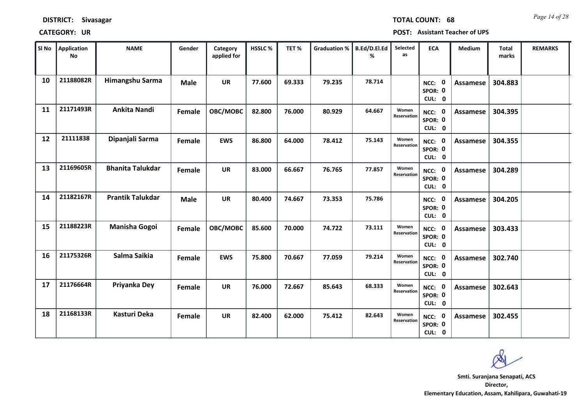| SI No | Application<br>No | <b>NAME</b>             | Gender      | Category<br>applied for | HSSLC% | TET%   | <b>Graduation %</b> | B.Ed/D.El.Ed<br>% | Selected<br>as              | <b>ECA</b>                  | Medium          | <b>Total</b><br>marks | <b>REMARKS</b> |
|-------|-------------------|-------------------------|-------------|-------------------------|--------|--------|---------------------|-------------------|-----------------------------|-----------------------------|-----------------|-----------------------|----------------|
| 10    | 21188082R         | Himangshu Sarma         | <b>Male</b> | <b>UR</b>               | 77.600 | 69.333 | 79.235              | 78.714            |                             | NCC: 0<br>SPOR: 0<br>CUL: 0 | <b>Assamese</b> | 304.883               |                |
| 11    | 21171493R         | <b>Ankita Nandi</b>     | Female      | OBC/MOBC                | 82.800 | 76.000 | 80.929              | 64.667            | Women<br>Reservation        | NCC: 0<br>SPOR: 0<br>CUL: 0 | Assamese        | 304.395               |                |
| 12    | 21111838          | Dipanjali Sarma         | Female      | <b>EWS</b>              | 86.800 | 64.000 | 78.412              | 75.143            | Women<br>Reservation        | NCC: 0<br>SPOR: 0<br>CUL: 0 | <b>Assamese</b> | 304.355               |                |
| 13    | 21169605R         | <b>Bhanita Talukdar</b> | Female      | <b>UR</b>               | 83.000 | 66.667 | 76.765              | 77.857            | Women<br>Reservation        | NCC: 0<br>SPOR: 0<br>CUL: 0 | Assamese        | 304.289               |                |
| 14    | 21182167R         | <b>Prantik Talukdar</b> | <b>Male</b> | <b>UR</b>               | 80.400 | 74.667 | 73.353              | 75.786            |                             | NCC: 0<br>SPOR: 0<br>CUL: 0 | Assamese        | 304.205               |                |
| 15    | 21188223R         | <b>Manisha Gogoi</b>    | Female      | OBC/MOBC                | 85.600 | 70.000 | 74.722              | 73.111            | Women<br>Reservation        | NCC: 0<br>SPOR: 0<br>CUL: 0 | Assamese        | 303.433               |                |
| 16    | 21175326R         | Salma Saikia            | Female      | <b>EWS</b>              | 75.800 | 70.667 | 77.059              | 79.214            | Women<br><b>Reservation</b> | NCC: 0<br>SPOR: 0<br>CUL: 0 | Assamese        | 302.740               |                |
| 17    | 21176664R         | Priyanka Dey            | Female      | <b>UR</b>               | 76.000 | 72.667 | 85.643              | 68.333            | Women<br>Reservation        | NCC: 0<br>SPOR: 0<br>CUL: 0 | <b>Assamese</b> | 302.643               |                |
| 18    | 21168133R         | Kasturi Deka            | Female      | <b>UR</b>               | 82.400 | 62.000 | 75.412              | 82.643            | Women<br>Reservation        | NCC: 0<br>SPOR: 0<br>CUL: 0 | Assamese        | 302.455               |                |

**Director, Elementary Education, Assam, Kahilipara, Guwahati-19 Smti. Suranjana Senapati, ACS**

**DISTRICT: Sivasagar**

### **CATEGORY: UR POST: Assistant Teacher of UPS**

*Page 14 of 28* **TOTAL COUNT: 68**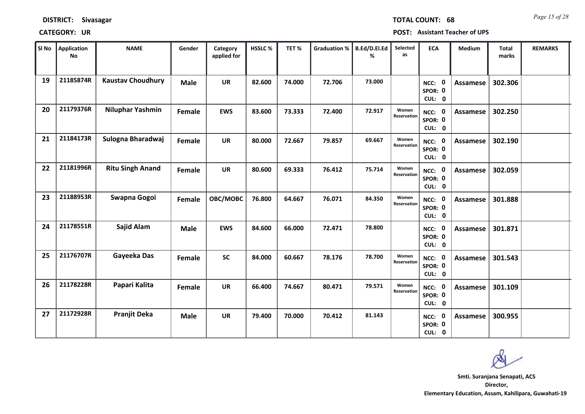| Sl No | <b>Application</b><br><b>No</b> | <b>NAME</b>              | Gender      | Category<br>applied for | HSSLC% | TET%   | <b>Graduation %</b> | B.Ed/D.El.Ed<br>% | Selected<br>as       | <b>ECA</b>                     | Medium          | Total<br>marks | <b>REMARKS</b> |
|-------|---------------------------------|--------------------------|-------------|-------------------------|--------|--------|---------------------|-------------------|----------------------|--------------------------------|-----------------|----------------|----------------|
| 19    | 21185874R                       | <b>Kaustav Choudhury</b> | <b>Male</b> | <b>UR</b>               | 82.600 | 74.000 | 72.706              | 73.000            |                      | 0<br>NCC:<br>SPOR: 0<br>CUL: 0 | Assamese        | 302.306        |                |
| 20    | 21179376R                       | Niluphar Yashmin         | Female      | <b>EWS</b>              | 83.600 | 73.333 | 72.400              | 72.917            | Women<br>Reservation | NCC: 0<br>SPOR: 0<br>CUL: 0    | Assamese        | 302.250        |                |
| 21    | 21184173R                       | Sulogna Bharadwaj        | Female      | <b>UR</b>               | 80.000 | 72.667 | 79.857              | 69.667            | Women<br>Reservation | NCC: 0<br>SPOR: 0<br>CUL: 0    | Assamese        | 302.190        |                |
| 22    | 21181996R                       | <b>Ritu Singh Anand</b>  | Female      | <b>UR</b>               | 80.600 | 69.333 | 76.412              | 75.714            | Women<br>Reservation | NCC: 0<br>SPOR: 0<br>CUL: 0    | <b>Assamese</b> | 302.059        |                |
| 23    | 21188953R                       | Swapna Gogoi             | Female      | OBC/MOBC                | 76.800 | 64.667 | 76.071              | 84.350            | Women<br>Reservation | NCC: 0<br>SPOR: 0<br>CUL: 0    | Assamese        | 301.888        |                |
| 24    | 21178551R                       | Sajid Alam               | <b>Male</b> | <b>EWS</b>              | 84.600 | 66.000 | 72.471              | 78.800            |                      | NCC: 0<br>SPOR: 0<br>CUL: 0    | Assamese        | 301.871        |                |
| 25    | 21176707R                       | Gayeeka Das              | Female      | <b>SC</b>               | 84.000 | 60.667 | 78.176              | 78.700            | Women<br>Reservation | NCC: 0<br>SPOR: 0<br>CUL: 0    | Assamese        | 301.543        |                |
| 26    | 21178228R                       | Papari Kalita            | Female      | <b>UR</b>               | 66.400 | 74.667 | 80.471              | 79.571            | Women<br>Reservation | NCC: 0<br>SPOR: 0<br>CUL: 0    | Assamese        | 301.109        |                |
| 27    | 21172928R                       | <b>Pranjit Deka</b>      | <b>Male</b> | <b>UR</b>               | 79.400 | 70.000 | 70.412              | 81.143            |                      | NCC: 0<br>SPOR: 0<br>CUL: 0    | Assamese        | 300.955        |                |

**CATEGORY: UR POST: Assistant Teacher of UPS**

**DISTRICT: Sivasagar**

*Page 15 of 28* **TOTAL COUNT: 68**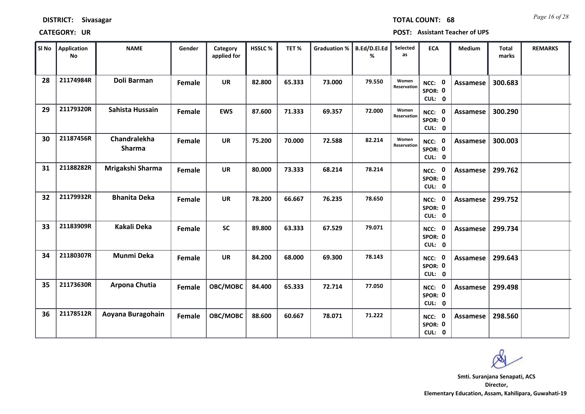| SI No | <b>Application</b><br><b>No</b> | <b>NAME</b>                   | Gender | Category<br>applied for | <b>HSSLC%</b> | TET%   | <b>Graduation %</b> | B.Ed/D.El.Ed<br>% | Selected<br>as       | <b>ECA</b>                         | Medium          | <b>Total</b><br>marks | <b>REMARKS</b> |
|-------|---------------------------------|-------------------------------|--------|-------------------------|---------------|--------|---------------------|-------------------|----------------------|------------------------------------|-----------------|-----------------------|----------------|
| 28    | 21174984R                       | Doli Barman                   | Female | <b>UR</b>               | 82.800        | 65.333 | 73.000              | 79.550            | Women<br>Reservation | NCC: 0<br>SPOR: 0<br>CUL: 0        | Assamese        | 300.683               |                |
| 29    | 21179320R                       | Sahista Hussain               | Female | <b>EWS</b>              | 87.600        | 71.333 | 69.357              | 72.000            | Women<br>Reservation | NCC: 0<br>SPOR: 0<br>CUL: 0        | Assamese        | 300.290               |                |
| 30    | 21187456R                       | Chandralekha<br><b>Sharma</b> | Female | <b>UR</b>               | 75.200        | 70.000 | 72.588              | 82.214            | Women<br>Reservation | NCC: 0<br>SPOR: 0<br>CUL: 0        | <b>Assamese</b> | 300.003               |                |
| 31    | 21188282R                       | Mrigakshi Sharma              | Female | <b>UR</b>               | 80.000        | 73.333 | 68.214              | 78.214            |                      | NCC: 0<br>SPOR: 0<br>CUL: 0        | <b>Assamese</b> | 299.762               |                |
| 32    | 21179932R                       | <b>Bhanita Deka</b>           | Female | <b>UR</b>               | 78.200        | 66.667 | 76.235              | 78.650            |                      | NCC: 0<br>SPOR: 0<br>CUL: 0        | Assamese        | 299.752               |                |
| 33    | 21183909R                       | <b>Kakali Deka</b>            | Female | <b>SC</b>               | 89.800        | 63.333 | 67.529              | 79.071            |                      | NCC: 0<br>SPOR: 0<br>CUL: 0        | <b>Assamese</b> | 299.734               |                |
| 34    | 21180307R                       | Munmi Deka                    | Female | <b>UR</b>               | 84.200        | 68.000 | 69.300              | 78.143            |                      | NCC: 0<br>SPOR: 0<br>CUL: 0        | <b>Assamese</b> | 299.643               |                |
| 35    | 21173630R                       | Arpona Chutia                 | Female | OBC/MOBC                | 84.400        | 65.333 | 72.714              | 77.050            |                      | <b>NCC: 0</b><br>SPOR: 0<br>CUL: 0 | <b>Assamese</b> | 299.498               |                |
| 36    | 21178512R                       | Aoyana Buragohain             | Female | OBC/MOBC                | 88.600        | 60.667 | 78.071              | 71.222            |                      | <b>NCC: 0</b><br>SPOR: 0<br>CUL: 0 | <b>Assamese</b> | 298.560               |                |

### **CATEGORY: UR POST: Assistant Teacher of UPS**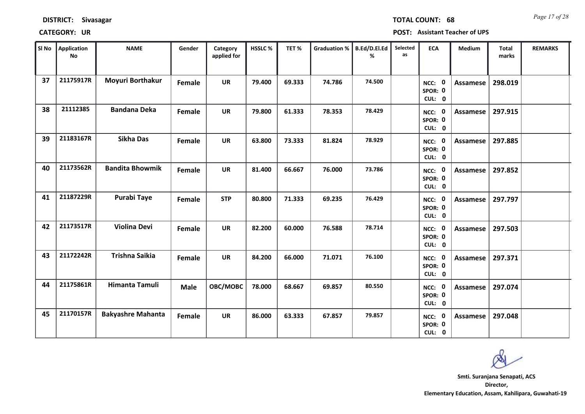| SI No | Application<br><b>No</b> | <b>NAME</b>              | Gender      | Category<br>applied for | HSSLC% | TET%   | <b>Graduation %</b> | B.Ed/D.El.Ed<br>% | Selected<br>as | <b>ECA</b>                         | Medium          | <b>Total</b><br>marks | <b>REMARKS</b> |
|-------|--------------------------|--------------------------|-------------|-------------------------|--------|--------|---------------------|-------------------|----------------|------------------------------------|-----------------|-----------------------|----------------|
| 37    | 21175917R                | Moyuri Borthakur         | Female      | <b>UR</b>               | 79.400 | 69.333 | 74.786              | 74.500            |                | NCC: 0<br>SPOR: 0<br>CUL: 0        | Assamese        | 298.019               |                |
| 38    | 21112385                 | <b>Bandana Deka</b>      | Female      | <b>UR</b>               | 79.800 | 61.333 | 78.353              | 78.429            |                | NCC: 0<br>SPOR: 0<br>CUL: 0        | Assamese        | 297.915               |                |
| 39    | 21183167R                | <b>Sikha Das</b>         | Female      | <b>UR</b>               | 63.800 | 73.333 | 81.824              | 78.929            |                | NCC: 0<br>SPOR: 0<br>CUL: 0        | <b>Assamese</b> | 297.885               |                |
| 40    | 21173562R                | <b>Bandita Bhowmik</b>   | Female      | <b>UR</b>               | 81.400 | 66.667 | 76.000              | 73.786            |                | NCC: 0<br>SPOR: 0<br>CUL: 0        | Assamese        | 297.852               |                |
| 41    | 21187229R                | <b>Purabi Taye</b>       | Female      | <b>STP</b>              | 80.800 | 71.333 | 69.235              | 76.429            |                | NCC: 0<br>SPOR: 0<br>CUL: 0        | <b>Assamese</b> | 297.797               |                |
| 42    | 21173517R                | <b>Violina Devi</b>      | Female      | <b>UR</b>               | 82.200 | 60.000 | 76.588              | 78.714            |                | NCC: 0<br>SPOR: 0<br>CUL: 0        | <b>Assamese</b> | 297.503               |                |
| 43    | 21172242R                | Trishna Saikia           | Female      | <b>UR</b>               | 84.200 | 66.000 | 71.071              | 76.100            |                | NCC: 0<br>SPOR: 0<br>CUL: 0        | Assamese        | 297.371               |                |
| 44    | 21175861R                | Himanta Tamuli           | <b>Male</b> | OBC/MOBC                | 78.000 | 68.667 | 69.857              | 80.550            |                | <b>NCC: 0</b><br>SPOR: 0<br>CUL: 0 | Assamese        | 297.074               |                |
| 45    | 21170157R                | <b>Bakyashre Mahanta</b> | Female      | <b>UR</b>               | 86.000 | 63.333 | 67.857              | 79.857            |                | NCC: 0<br>SPOR: 0<br>CUL: 0        | Assamese        | 297.048               |                |

**CATEGORY: UR POST: Assistant Teacher of UPS**

### **DISTRICT: Sivasagar**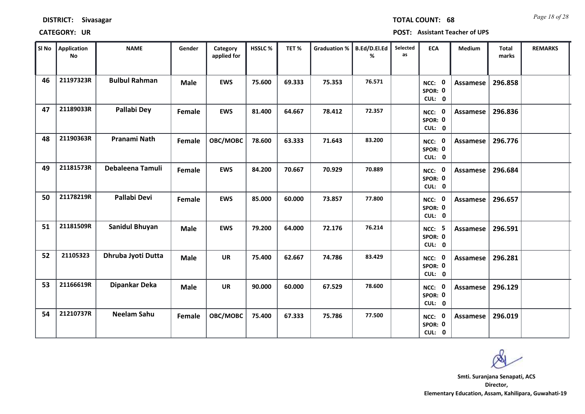| SI No | <b>Application</b><br><b>No</b> | <b>NAME</b>           | Gender      | Category<br>applied for | HSSLC% | TET%   | <b>Graduation %</b> | B.Ed/D.El.Ed<br>% | Selected<br>as | <b>ECA</b>                         | Medium   | Total<br>marks | <b>REMARKS</b> |
|-------|---------------------------------|-----------------------|-------------|-------------------------|--------|--------|---------------------|-------------------|----------------|------------------------------------|----------|----------------|----------------|
| 46    | 21197323R                       | <b>Bulbul Rahman</b>  | <b>Male</b> | <b>EWS</b>              | 75.600 | 69.333 | 75.353              | 76.571            |                | NCC: 0<br>SPOR: 0<br>CUL: 0        | Assamese | 296.858        |                |
| 47    | 21189033R                       | Pallabi Dey           | Female      | <b>EWS</b>              | 81.400 | 64.667 | 78.412              | 72.357            |                | NCC: 0<br>SPOR: 0<br>CUL: 0        | Assamese | 296.836        |                |
| 48    | 21190363R                       | Pranami Nath          | Female      | OBC/MOBC                | 78.600 | 63.333 | 71.643              | 83.200            |                | NCC: 0<br>SPOR: 0<br>CUL: 0        | Assamese | 296.776        |                |
| 49    | 21181573R                       | Debaleena Tamuli      | Female      | <b>EWS</b>              | 84.200 | 70.667 | 70.929              | 70.889            |                | NCC: 0<br>SPOR: 0<br>CUL: 0        | Assamese | 296.684        |                |
| 50    | 21178219R                       | Pallabi Devi          | Female      | <b>EWS</b>              | 85.000 | 60.000 | 73.857              | 77.800            |                | NCC: 0<br>SPOR: 0<br>CUL: 0        | Assamese | 296.657        |                |
| 51    | 21181509R                       | <b>Sanidul Bhuyan</b> | <b>Male</b> | <b>EWS</b>              | 79.200 | 64.000 | 72.176              | 76.214            |                | <b>NCC: 5</b><br>SPOR: 0<br>CUL: 0 | Assamese | 296.591        |                |
| 52    | 21105323                        | Dhruba Jyoti Dutta    | <b>Male</b> | <b>UR</b>               | 75.400 | 62.667 | 74.786              | 83.429            |                | NCC: 0<br>SPOR: 0<br>CUL: 0        | Assamese | 296.281        |                |
| 53    | 21166619R                       | Dipankar Deka         | <b>Male</b> | <b>UR</b>               | 90.000 | 60.000 | 67.529              | 78.600            |                | NCC: 0<br>SPOR: 0<br>CUL: 0        | Assamese | 296.129        |                |
| 54    | 21210737R                       | <b>Neelam Sahu</b>    | Female      | OBC/MOBC                | 75.400 | 67.333 | 75.786              | 77.500            |                | <b>NCC: 0</b><br>SPOR: 0<br>CUL: 0 | Assamese | 296.019        |                |

**CATEGORY: UR POST: Assistant Teacher of UPS**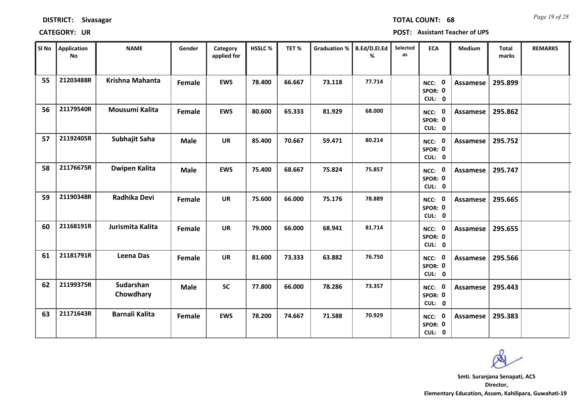| SI No | <b>Application</b><br>No | <b>NAME</b>            | Gender        | Category<br>applied for | HSSLC% | TET%   | Graduation % | <b>B.Ed/D.El.Ed</b><br>% | Selected<br>as | <b>ECA</b>                         | Medium          | <b>Total</b><br>marks | <b>REMARKS</b> |
|-------|--------------------------|------------------------|---------------|-------------------------|--------|--------|--------------|--------------------------|----------------|------------------------------------|-----------------|-----------------------|----------------|
| 55    | 21203488R                | <b>Krishna Mahanta</b> | Female        | <b>EWS</b>              | 78.400 | 66.667 | 73.118       | 77.714                   |                | NCC: 0<br>SPOR: 0<br>CUL: 0        | <b>Assamese</b> | 295.899               |                |
| 56    | 21179540R                | Mousumi Kalita         | Female        | <b>EWS</b>              | 80.600 | 65.333 | 81.929       | 68.000                   |                | NCC: 0<br>SPOR: 0<br>CUL: 0        | Assamese        | 295.862               |                |
| 57    | 21192405R                | Subhajit Saha          | <b>Male</b>   | <b>UR</b>               | 85.400 | 70.667 | 59.471       | 80.214                   |                | NCC: 0<br>SPOR: 0<br>CUL: 0        | <b>Assamese</b> | 295.752               |                |
| 58    | 21176675R                | <b>Dwipen Kalita</b>   | <b>Male</b>   | <b>EWS</b>              | 75.400 | 68.667 | 75.824       | 75.857                   |                | NCC: 0<br>SPOR: 0<br>CUL: 0        | <b>Assamese</b> | 295.747               |                |
| 59    | 21190348R                | Radhika Devi           | Female        | <b>UR</b>               | 75.600 | 66.000 | 75.176       | 78.889                   |                | NCC: 0<br>SPOR: 0<br>CUL: 0        | Assamese        | 295.665               |                |
| 60    | 21168191R                | Jurismita Kalita       | <b>Female</b> | <b>UR</b>               | 79.000 | 66.000 | 68.941       | 81.714                   |                | NCC: 0<br>SPOR: 0<br>CUL: 0        | Assamese        | 295.655               |                |
| 61    | 21181791R                | Leena Das              | Female        | <b>UR</b>               | 81.600 | 73.333 | 63.882       | 76.750                   |                | NCC: 0<br>SPOR: 0<br>CUL: 0        | Assamese        | 295.566               |                |
| 62    | 21199375R                | Sudarshan<br>Chowdhary | <b>Male</b>   | <b>SC</b>               | 77.800 | 66.000 | 78.286       | 73.357                   |                | <b>NCC: 0</b><br>SPOR: 0<br>CUL: 0 | <b>Assamese</b> | 295.443               |                |
| 63    | 21171643R                | <b>Barnali Kalita</b>  | Female        | <b>EWS</b>              | 78.200 | 74.667 | 71.588       | 70.929                   |                | NCC: 0<br>SPOR: 0<br>CUL: 0        | Assamese        | 295.383               |                |

**CATEGORY: UR POST: Assistant Teacher of UPS**

**DISTRICT: Sivasagar**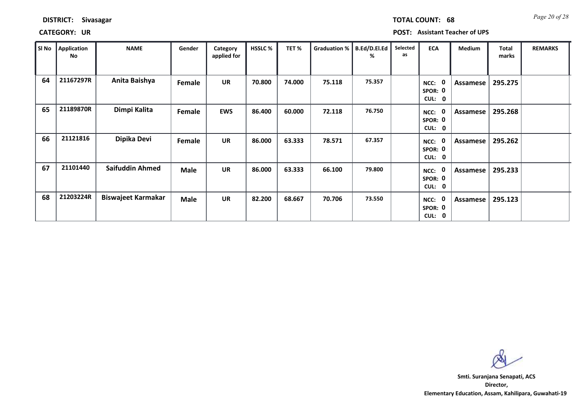**CATEGORY: UR POST: Assistant Teacher of UPS**

| SI No | Application<br>No | <b>NAME</b>               | Gender      | Category<br>applied for | <b>HSSLC%</b> | TET%   | Graduation % | B.Ed/D.El.Ed<br>% | Selected<br>as | <b>ECA</b>                                             | Medium   | <b>Total</b><br>marks | <b>REMARKS</b> |
|-------|-------------------|---------------------------|-------------|-------------------------|---------------|--------|--------------|-------------------|----------------|--------------------------------------------------------|----------|-----------------------|----------------|
| 64    | 21167297R         | Anita Baishya             | Female      | <b>UR</b>               | 70.800        | 74.000 | 75.118       | 75.357            |                | 0<br>NCC:<br>SPOR: 0<br><b>CUL:</b><br>$\mathbf 0$     | Assamese | 295.275               |                |
| 65    | 21189870R         | Dimpi Kalita              | Female      | <b>EWS</b>              | 86.400        | 60.000 | 72.118       | 76.750            |                | $\mathbf 0$<br>NCC:<br>SPOR: 0<br>CUL:<br>$\mathbf 0$  | Assamese | 295.268               |                |
| 66    | 21121816          | Dipika Devi               | Female      | <b>UR</b>               | 86.000        | 63.333 | 78.571       | 67.357            |                | $\mathbf 0$<br>NCC:<br>SPOR: 0<br>CUL:<br>0            | Assamese | 295.262               |                |
| 67    | 21101440          | <b>Saifuddin Ahmed</b>    | <b>Male</b> | <b>UR</b>               | 86.000        | 63.333 | 66.100       | 79.800            |                | $\mathbf 0$<br>NCC:<br>SPOR: 0<br>CUL:<br>$\mathbf{0}$ | Assamese | 295.233               |                |
| 68    | 21203224R         | <b>Biswajeet Karmakar</b> | <b>Male</b> | <b>UR</b>               | 82.200        | 68.667 | 70.706       | 73.550            |                | 0<br>NCC:<br>SPOR: 0<br>CUL:<br>$\mathbf{0}$           | Assamese | 295.123               |                |

**Director, Elementary Education, Assam, Kahilipara, Guwahati-19 Smti. Suranjana Senapati, ACS**

*Page 20 of 28* **TOTAL COUNT: 68**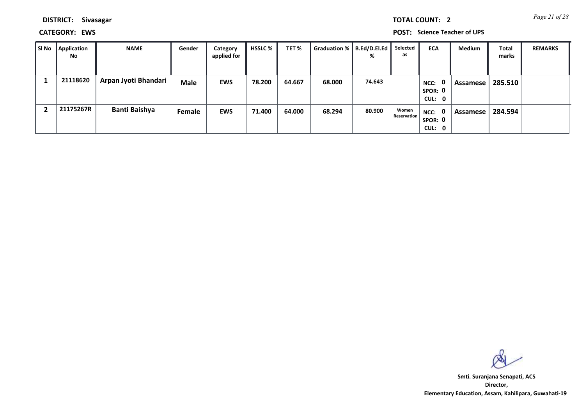*Page 21 of 28* **TOTAL COUNT: 2**

**DISTRICT: Sivasagar**

**CATEGORY: EWS POST: Science Teacher of UPS**

| SI No | <b>Application</b><br><b>No</b> | <b>NAME</b>          | Gender      | Category<br>applied for | <b>HSSLC</b> % | TET%   | <b>Graduation %</b> | B.Ed/D.El.Ed<br>% | Selected<br>as       | <b>ECA</b>                     | Medium     | <b>Total</b><br>marks | <b>REMARKS</b> |
|-------|---------------------------------|----------------------|-------------|-------------------------|----------------|--------|---------------------|-------------------|----------------------|--------------------------------|------------|-----------------------|----------------|
|       | 21118620                        | Arpan Jyoti Bhandari | <b>Male</b> | <b>EWS</b>              | 78.200         | 64.667 | 68.000              | 74.643            |                      | 0<br>NCC:<br>SPOR: 0<br>CUL: 0 | Assamese ' | 285.510               |                |
|       | 21175267R                       | <b>Banti Baishya</b> | Female      | <b>EWS</b>              | 71.400         | 64.000 | 68.294              | 80.900            | Women<br>Reservation | NCC: 0<br>SPOR: 0<br>CUL: 0    | Assamese   | 284.594               |                |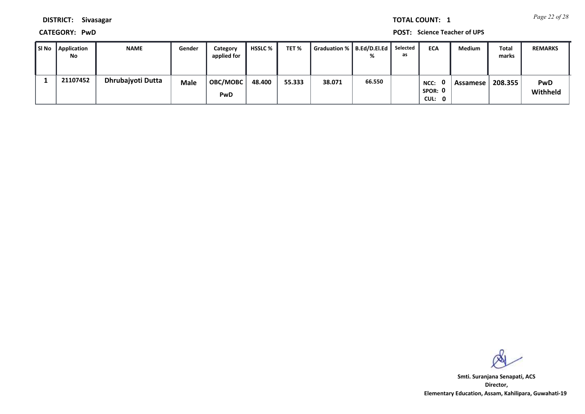*Page 22 of 28* **TOTAL COUNT: 1**

**DISTRICT: Sivasagar**

**CATEGORY: PwD POST: Science Teacher of UPS**

| SI No | Application<br>No | <b>NAME</b>       | Gender      | Category<br>applied for | HSSLC % | TET %  | Graduation %   B.Ed/D.El.Ed |        | Selected<br>as | <b>ECA</b>                | Medium   | Total<br>marks | <b>REMARKS</b>         |
|-------|-------------------|-------------------|-------------|-------------------------|---------|--------|-----------------------------|--------|----------------|---------------------------|----------|----------------|------------------------|
|       | 21107452          | Dhrubajyoti Dutta | <b>Male</b> | <b>OBC/MOBC</b><br>PwD  | 48.400  | 55.333 | 38.071                      | 66.550 |                | NCC:<br>SPOR: 0<br>CUL: 0 | Assamese | 208.355        | <b>PwD</b><br>Withheld |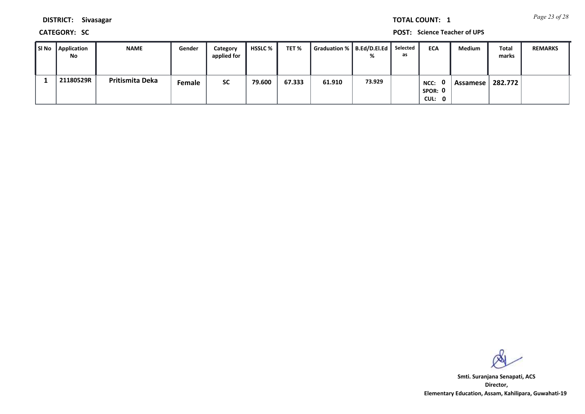*Page 23 of 28* **TOTAL COUNT: 1**

**DISTRICT: Sivasagar**

**CATEGORY: SC POST: Science Teacher of UPS**

| SI No Application<br>No | <b>NAME</b>     | Gender | Category<br>applied for | HSSLC % | TET %  | Graduation %   B.Ed/D.El.Ed |        | Selected<br>as | <b>ECA</b>                | Medium   | Total<br>marks | <b>REMARKS</b> |
|-------------------------|-----------------|--------|-------------------------|---------|--------|-----------------------------|--------|----------------|---------------------------|----------|----------------|----------------|
| 21180529R               | Pritismita Deka | Female | <b>SC</b>               | 79.600  | 67.333 | 61.910                      | 73.929 |                | NCC:<br>SPOR: 0<br>CUL: 0 | Assamese | 282.772        |                |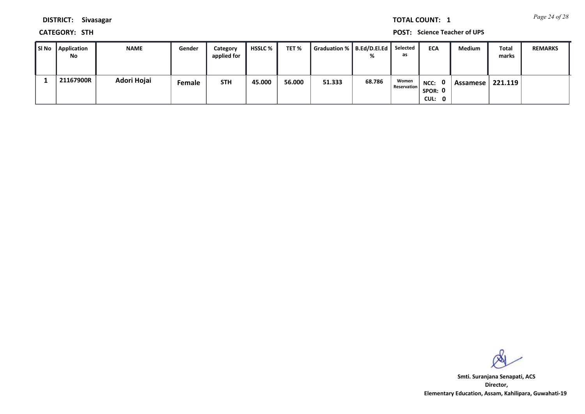*Page 24 of 28* **TOTAL COUNT: 1**

**DISTRICT: Sivasagar**

**CATEGORY: STH POST: Science Teacher of UPS**

| SI No | Application<br>No | <b>NAME</b> | Gender | Category<br>applied for | <b>HSSLC %</b> | TET %  | Graduation %   B.Ed/D.El.Ed |        | Selected<br>as              | <b>ECA</b>                  | Medium     | <b>Total</b><br>marks | <b>REMARKS</b> |
|-------|-------------------|-------------|--------|-------------------------|----------------|--------|-----------------------------|--------|-----------------------------|-----------------------------|------------|-----------------------|----------------|
|       | 21167900R         | Adori Hojai | Female | <b>STH</b>              | 45.000         | 56.000 | 51.333                      | 68.786 | Women<br><b>Reservation</b> | NCC: 0<br>SPOR: 0<br>CUL: 0 | Assamese I | 221.119               |                |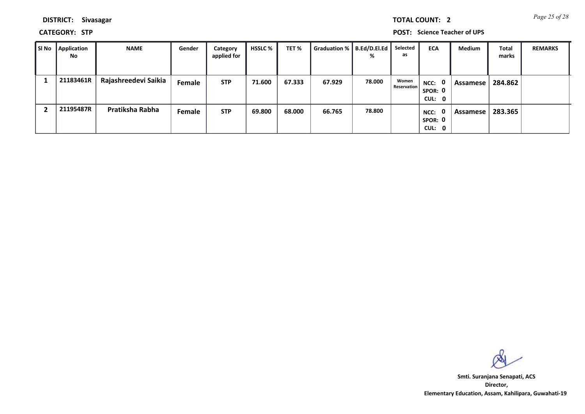*Page 25 of 28* **TOTAL COUNT: 2**

**DISTRICT: Sivasagar**

**CATEGORY: STP POST: Science Teacher of UPS**

| SI No | <b>Application</b><br>No | <b>NAME</b>          | Gender | Category<br>applied for | <b>HSSLC</b> % | TET %  | Graduation %   B.Ed/D.El.Ed | %      | Selected<br>as              | <b>ECA</b>                                | <b>Medium</b> | Total<br>marks | <b>REMARKS</b> |
|-------|--------------------------|----------------------|--------|-------------------------|----------------|--------|-----------------------------|--------|-----------------------------|-------------------------------------------|---------------|----------------|----------------|
|       | 21183461R                | Rajashreedevi Saikia | Female | <b>STP</b>              | 71.600         | 67.333 | 67.929                      | 78.000 | Women<br><b>Reservation</b> | NCC: 0<br>SPOR: 0<br>CUL: 0               | Assamese      | 284.862        |                |
|       | 21195487R                | Pratiksha Rabha      | Female | <b>STP</b>              | 69.800         | 68.000 | 66.765                      | 78.800 |                             | $\mathbf{0}$<br>NCC:<br>SPOR: 0<br>CUL: 0 | Assamese      | 283.365        |                |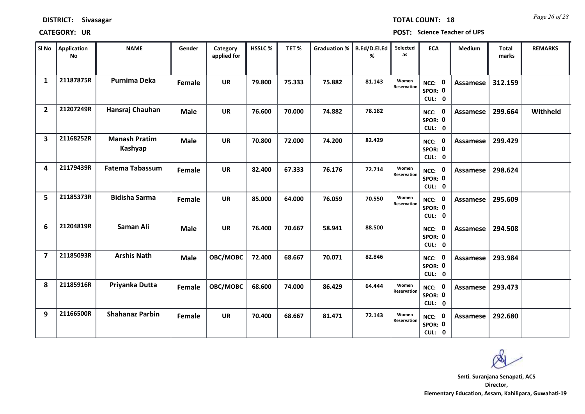| SI No                   | <b>Application</b><br>No | <b>NAME</b>                     | Gender      | Category<br>applied for | HSSLC% | TET%   | <b>Graduation %</b> | B.Ed/D.El.Ed<br>% | Selected<br>as       | <b>ECA</b>                               | Medium          | <b>Total</b><br>marks | <b>REMARKS</b> |
|-------------------------|--------------------------|---------------------------------|-------------|-------------------------|--------|--------|---------------------|-------------------|----------------------|------------------------------------------|-----------------|-----------------------|----------------|
| $\mathbf{1}$            | 21187875R                | <b>Purnima Deka</b>             | Female      | <b>UR</b>               | 79.800 | 75.333 | 75.882              | 81.143            | Women<br>Reservation | NCC: 0<br>SPOR: 0<br>CUL: 0              | Assamese        | 312.159               |                |
| $\overline{2}$          | 21207249R                | Hansraj Chauhan                 | <b>Male</b> | <b>UR</b>               | 76.600 | 70.000 | 74.882              | 78.182            |                      | NCC: 0<br>SPOR: 0<br>CUL: 0              | Assamese        | 299.664               | Withheld       |
| $\overline{\mathbf{3}}$ | 21168252R                | <b>Manash Pratim</b><br>Kashyap | <b>Male</b> | <b>UR</b>               | 70.800 | 72.000 | 74.200              | 82.429            |                      | NCC: 0<br>SPOR: 0<br>CUL: 0              | <b>Assamese</b> | 299.429               |                |
| 4                       | 21179439R                | <b>Fatema Tabassum</b>          | Female      | <b>UR</b>               | 82.400 | 67.333 | 76.176              | 72.714            | Women<br>Reservation | NCC: 0<br>SPOR: 0<br>CUL: 0              | Assamese        | 298.624               |                |
| 5                       | 21185373R                | <b>Bidisha Sarma</b>            | Female      | <b>UR</b>               | 85.000 | 64.000 | 76.059              | 70.550            | Women<br>Reservation | NCC: 0<br>SPOR: 0<br>CUL: 0              | <b>Assamese</b> | 295.609               |                |
| 6                       | 21204819R                | Saman Ali                       | <b>Male</b> | <b>UR</b>               | 76.400 | 70.667 | 58.941              | 88.500            |                      | NCC: 0<br>SPOR: 0<br>CUL: 0              | <b>Assamese</b> | 294.508               |                |
| $\overline{7}$          | 21185093R                | <b>Arshis Nath</b>              | <b>Male</b> | OBC/MOBC                | 72.400 | 68.667 | 70.071              | 82.846            |                      | $\mathbf 0$<br>NCC:<br>SPOR: 0<br>CUL: 0 | Assamese        | 293.984               |                |
| 8                       | 21185916R                | Priyanka Dutta                  | Female      | OBC/MOBC                | 68.600 | 74.000 | 86.429              | 64.444            | Women<br>Reservation | NCC: 0<br>SPOR: 0<br>CUL: 0              | Assamese        | 293.473               |                |
| 9                       | 21166500R                | <b>Shahanaz Parbin</b>          | Female      | <b>UR</b>               | 70.400 | 68.667 | 81.471              | 72.143            | Women<br>Reservation | NCC: 0<br>SPOR: 0<br>CUL: 0              | Assamese        | 292.680               |                |

### **CATEGORY: UR POST: Science Teacher of UPS**

*Page 26 of 28* **TOTAL COUNT: 18**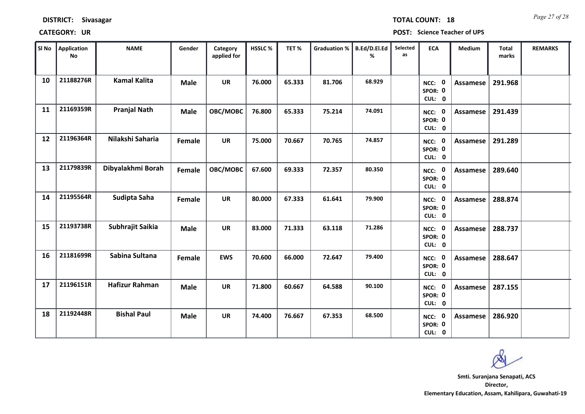| SI No | <b>Application</b><br><b>No</b> | <b>NAME</b>           | Gender      | Category<br>applied for | HSSLC% | TET%   | Graduation % | <b>B.Ed/D.El.Ed</b><br>% | Selected<br>as | <b>ECA</b>                         | Medium   | <b>Total</b><br>marks | <b>REMARKS</b> |
|-------|---------------------------------|-----------------------|-------------|-------------------------|--------|--------|--------------|--------------------------|----------------|------------------------------------|----------|-----------------------|----------------|
| 10    | 21188276R                       | <b>Kamal Kalita</b>   | <b>Male</b> | <b>UR</b>               | 76.000 | 65.333 | 81.706       | 68.929                   |                | NCC: 0<br>SPOR: 0<br>CUL: 0        | Assamese | 291.968               |                |
| 11    | 21169359R                       | <b>Pranjal Nath</b>   | <b>Male</b> | OBC/MOBC                | 76.800 | 65.333 | 75.214       | 74.091                   |                | NCC: 0<br>SPOR: 0<br>CUL: 0        | Assamese | 291.439               |                |
| 12    | 21196364R                       | Nilakshi Saharia      | Female      | <b>UR</b>               | 75.000 | 70.667 | 70.765       | 74.857                   |                | NCC: 0<br>SPOR: 0<br>CUL: 0        | Assamese | 291.289               |                |
| 13    | 21179839R                       | Dibyalakhmi Borah     | Female      | OBC/MOBC                | 67.600 | 69.333 | 72.357       | 80.350                   |                | NCC: 0<br>SPOR: 0<br>CUL: 0        | Assamese | 289.640               |                |
| 14    | 21195564R                       | Sudipta Saha          | Female      | <b>UR</b>               | 80.000 | 67.333 | 61.641       | 79.900                   |                | NCC: 0<br>SPOR: 0<br>CUL: 0        | Assamese | 288.874               |                |
| 15    | 21193738R                       | Subhrajit Saikia      | <b>Male</b> | <b>UR</b>               | 83.000 | 71.333 | 63.118       | 71.286                   |                | NCC: 0<br>SPOR: 0<br>CUL: 0        | Assamese | 288.737               |                |
| 16    | 21181699R                       | Sabina Sultana        | Female      | <b>EWS</b>              | 70.600 | 66.000 | 72.647       | 79.400                   |                | NCC: 0<br>SPOR: 0<br>CUL: 0        | Assamese | 288.647               |                |
| 17    | 21196151R                       | <b>Hafizur Rahman</b> | <b>Male</b> | <b>UR</b>               | 71.800 | 60.667 | 64.588       | 90.100                   |                | <b>NCC: 0</b><br>SPOR: 0<br>CUL: 0 | Assamese | 287.155               |                |
| 18    | 21192448R                       | <b>Bishal Paul</b>    | <b>Male</b> | <b>UR</b>               | 74.400 | 76.667 | 67.353       | 68.500                   |                | <b>NCC: 0</b><br>SPOR: 0<br>CUL: 0 | Assamese | 286.920               |                |

T.

*Page 27 of 28* **TOTAL COUNT: 18**